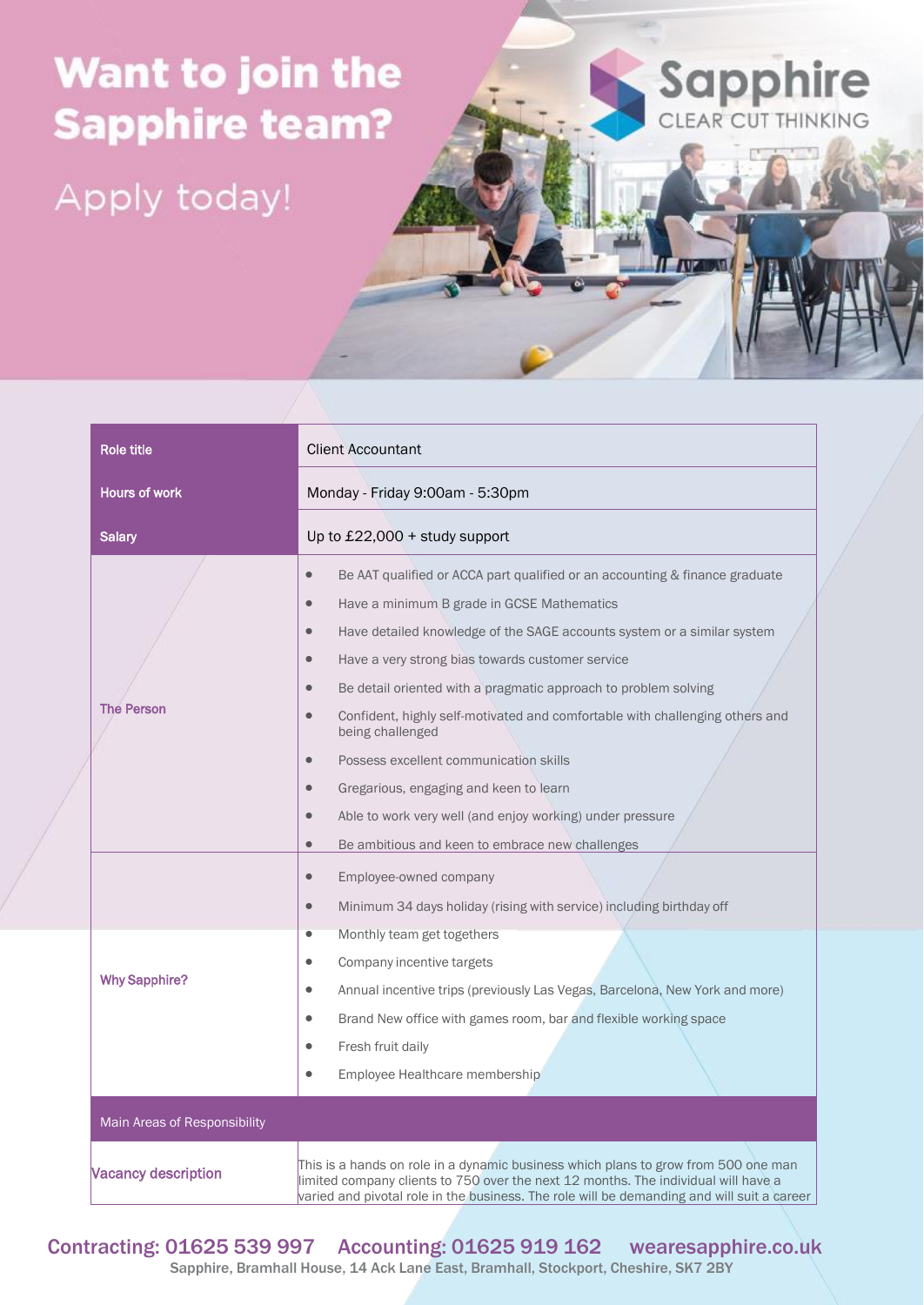## Want to join the **Sapphire team?**

Apply today!



IT **AVENUE** 

| <b>Role title</b>            | <b>Client Accountant</b>                                                                                                                                                                                                                                                                                                                                                                                                                                                                                                                                                                                                                                                                                                                     |
|------------------------------|----------------------------------------------------------------------------------------------------------------------------------------------------------------------------------------------------------------------------------------------------------------------------------------------------------------------------------------------------------------------------------------------------------------------------------------------------------------------------------------------------------------------------------------------------------------------------------------------------------------------------------------------------------------------------------------------------------------------------------------------|
| <b>Hours of work</b>         | Monday - Friday 9:00am - 5:30pm                                                                                                                                                                                                                                                                                                                                                                                                                                                                                                                                                                                                                                                                                                              |
| <b>Salary</b>                | Up to $£22,000 +$ study support                                                                                                                                                                                                                                                                                                                                                                                                                                                                                                                                                                                                                                                                                                              |
| <b>The Person</b>            | Be AAT qualified or ACCA part qualified or an accounting & finance graduate<br>$\bullet$<br>Have a minimum B grade in GCSE Mathematics<br>$\bullet$<br>Have detailed knowledge of the SAGE accounts system or a similar system<br>$\bullet$<br>Have a very strong bias towards customer service<br>$\bullet$<br>Be detail oriented with a pragmatic approach to problem solving<br>Confident, highly self-motivated and comfortable with challenging others and<br>being challenged<br>Possess excellent communication skills<br>$\bullet$<br>Gregarious, engaging and keen to learn<br>Able to work very well (and enjoy working) under pressure<br>$\bullet$<br>Be ambitious and keen to embrace new challenges<br>$\qquad \qquad \bullet$ |
|                              | Employee-owned company<br>$\bullet$<br>Minimum 34 days holiday (rising with service) including birthday off<br>$\qquad \qquad \bullet$                                                                                                                                                                                                                                                                                                                                                                                                                                                                                                                                                                                                       |
| <b>Why Sapphire?</b>         | Monthly team get togethers<br>$\bullet$<br>Company incentive targets<br>Annual incentive trips (previously Las Vegas, Barcelona, New York and more)<br>$\bullet$<br>Brand New office with games room, bar and flexible working space<br>$\bullet$<br>Fresh fruit daily<br>Employee Healthcare membership<br>$\bullet$                                                                                                                                                                                                                                                                                                                                                                                                                        |
| Main Areas of Responsibility |                                                                                                                                                                                                                                                                                                                                                                                                                                                                                                                                                                                                                                                                                                                                              |
| <b>Vacancy description</b>   | This is a hands on role in a dynamic business which plans to grow from 500 one man<br>limited company clients to 750 over the next 12 months. The individual will have a<br>varied and pivotal role in the business. The role will be demanding and will suit a career                                                                                                                                                                                                                                                                                                                                                                                                                                                                       |

Contracting: 01625 539 997 Accounting: 01625 919 162 wearesapphire.co.uk Sapphire, Bramhall House, 14 Ack Lane East, Bramhall, Stockport, Cheshire, SK7 2BY